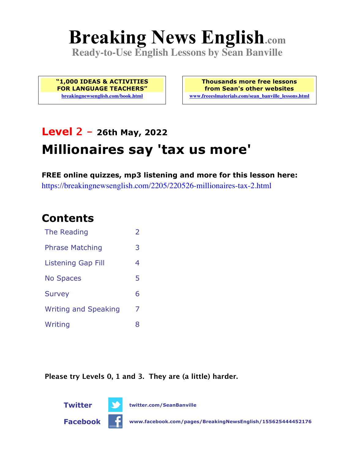# **Breaking News English.com**

**Ready-to-Use English Lessons by Sean Banville**

**"1,000 IDEAS & ACTIVITIES FOR LANGUAGE TEACHERS" breakingnewsenglish.com/book.html**

**Thousands more free lessons from Sean's other websites www.freeeslmaterials.com/sean\_banville\_lessons.html**

# **Level 2 - 26th May, 2022 Millionaires say 'tax us more'**

**FREE online quizzes, mp3 listening and more for this lesson here:** https://breakingnewsenglish.com/2205/220526-millionaires-tax-2.html

## **Contents**

| The Reading                 | $\mathcal{P}$ |
|-----------------------------|---------------|
| <b>Phrase Matching</b>      | З             |
| <b>Listening Gap Fill</b>   | 4             |
| <b>No Spaces</b>            | 5             |
| <b>Survey</b>               | 6             |
| <b>Writing and Speaking</b> | 7             |
| Writing                     | x             |

**Please try Levels 0, 1 and 3. They are (a little) harder.**



**Twitter twitter.com/SeanBanville**



**Facebook www.facebook.com/pages/BreakingNewsEnglish/155625444452176**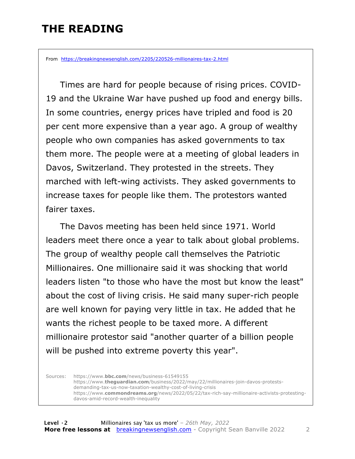### **THE READING**

From https://breakingnewsenglish.com/2205/220526-millionaires-tax-2.html

 Times are hard for people because of rising prices. COVID-19 and the Ukraine War have pushed up food and energy bills. In some countries, energy prices have tripled and food is 20 per cent more expensive than a year ago. A group of wealthy people who own companies has asked governments to tax them more. The people were at a meeting of global leaders in Davos, Switzerland. They protested in the streets. They marched with left-wing activists. They asked governments to increase taxes for people like them. The protestors wanted fairer taxes.

The Davos meeting has been held since 1971. World leaders meet there once a year to talk about global problems. The group of wealthy people call themselves the Patriotic Millionaires. One millionaire said it was shocking that world leaders listen "to those who have the most but know the least" about the cost of living crisis. He said many super-rich people are well known for paying very little in tax. He added that he wants the richest people to be taxed more. A different millionaire protestor said "another quarter of a billion people will be pushed into extreme poverty this year".

Sources: https://www.**bbc.com**/news/business-61549155 https://www.**theguardian.com**/business/2022/may/22/millionaires-join-davos-protestsdemanding-tax-us-now-taxation-wealthy-cost-of-living-crisis https://www.**commondreams.org**/news/2022/05/22/tax-rich-say-millionaire-activists-protestingdavos-amid-record-wealth-inequality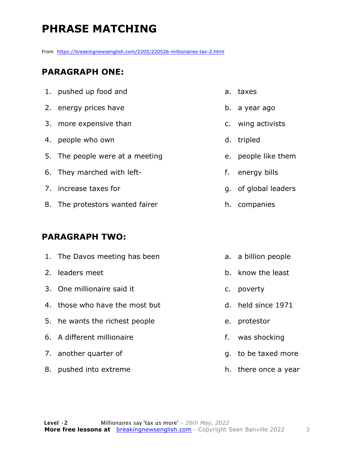## **PHRASE MATCHING**

From https://breakingnewsenglish.com/2205/220526-millionaires-tax-2.html

#### **PARAGRAPH ONE:**

| 1. pushed up food and           | a. taxes             |
|---------------------------------|----------------------|
| 2. energy prices have           | b. a year ago        |
| 3. more expensive than          | c. wing activists    |
| 4. people who own               | d. tripled           |
| 5. The people were at a meeting | e. people like them  |
| 6. They marched with left-      | f. energy bills      |
| 7. increase taxes for           | g. of global leaders |
| 8. The protestors wanted fairer | h. companies         |

#### **PARAGRAPH TWO:**

| 1. The Davos meeting has been  |    | a. a billion people  |
|--------------------------------|----|----------------------|
| 2. leaders meet                |    | b. know the least    |
| 3. One millionaire said it     | C. | poverty              |
| 4. those who have the most but |    | d. held since 1971   |
| 5. he wants the richest people | e. | protestor            |
| 6. A different millionaire     | f. | was shocking         |
| 7. another quarter of          |    | g. to be taxed more  |
| 8. pushed into extreme         |    | h. there once a year |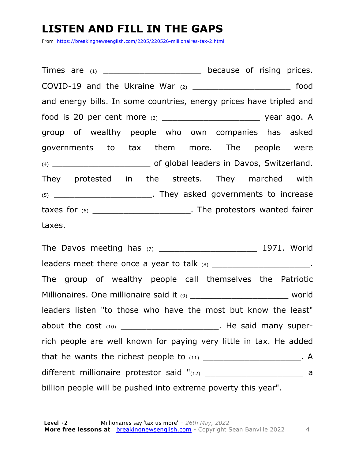#### **LISTEN AND FILL IN THE GAPS**

From https://breakingnewsenglish.com/2205/220526-millionaires-tax-2.html

Times are (1) Times are (2) and the secause of rising prices. COVID-19 and the Ukraine War  $(2)$  and the Ukraine War  $(2)$  food and energy bills. In some countries, energy prices have tripled and food is 20 per cent more (3) \_\_\_\_\_\_\_\_\_\_\_\_\_\_\_\_\_\_\_ year ago. A group of wealthy people who own companies has asked governments to tax them more. The people were (4) \_\_\_\_\_\_\_\_\_\_\_\_\_\_\_\_\_\_\_ of global leaders in Davos, Switzerland. They protested in the streets. They marched with (5) \_\_\_\_\_\_\_\_\_\_\_\_\_\_\_\_\_\_\_. They asked governments to increase taxes for (6) \_\_\_\_\_\_\_\_\_\_\_\_\_\_\_\_\_\_\_. The protestors wanted fairer taxes.

The Davos meeting has (7) \_\_\_\_\_\_\_\_\_\_\_\_\_\_\_\_\_\_\_ 1971. World leaders meet there once a year to talk (8) \_\_\_\_\_\_\_\_\_\_\_\_\_\_\_\_\_\_\_\_\_\_\_\_\_\_. The group of wealthy people call themselves the Patriotic Millionaires. One millionaire said it (9) \_\_\_\_\_\_\_\_\_\_\_\_\_\_\_\_\_\_\_\_\_\_\_\_\_\_\_ world leaders listen "to those who have the most but know the least" about the cost  $(10)$  about the cost  $(10)$ rich people are well known for paying very little in tax. He added that he wants the richest people to  $(11)$   $(11)$ different millionaire protestor said "(12) \_\_\_\_\_\_\_\_\_\_\_\_\_\_\_\_\_\_\_\_\_\_\_\_ a billion people will be pushed into extreme poverty this year".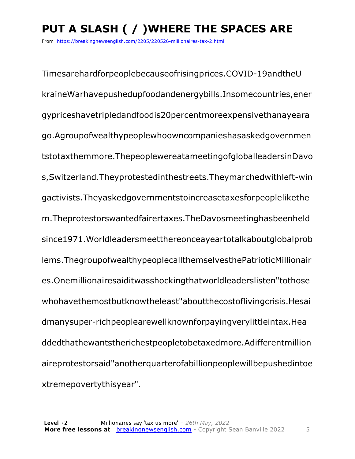# **PUT A SLASH ( / )WHERE THE SPACES ARE**

From https://breakingnewsenglish.com/2205/220526-millionaires-tax-2.html

Timesarehardforpeoplebecauseofrisingprices.COVID-19andtheU kraineWarhavepushedupfoodandenergybills.Insomecountries,ener gypriceshavetripledandfoodis20percentmoreexpensivethanayeara go.Agroupofwealthypeoplewhoowncompanieshasaskedgovernmen tstotaxthemmore.ThepeoplewereatameetingofgloballeadersinDavo s,Switzerland.Theyprotestedinthestreets.Theymarchedwithleft-win gactivists.Theyaskedgovernmentstoincreasetaxesforpeoplelikethe m.Theprotestorswantedfairertaxes.TheDavosmeetinghasbeenheld since1971.Worldleadersmeetthereonceayeartotalkaboutglobalprob lems.ThegroupofwealthypeoplecallthemselvesthePatrioticMillionair es.Onemillionairesaiditwasshockingthatworldleaderslisten"tothose whohavethemostbutknowtheleast"aboutthecostoflivingcrisis.Hesai dmanysuper-richpeoplearewellknownforpayingverylittleintax.Hea ddedthathewantstherichestpeopletobetaxedmore.Adifferentmillion aireprotestorsaid"anotherquarterofabillionpeoplewillbepushedintoe xtremepovertythisyear".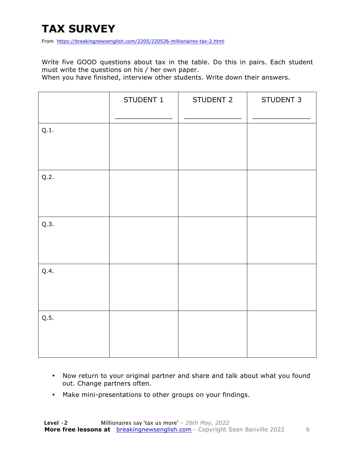# **TAX SURVEY**

From https://breakingnewsenglish.com/2205/220526-millionaires-tax-2.html

Write five GOOD questions about tax in the table. Do this in pairs. Each student must write the questions on his / her own paper.

When you have finished, interview other students. Write down their answers.

|      | STUDENT 1 | STUDENT 2 | STUDENT 3 |
|------|-----------|-----------|-----------|
| Q.1. |           |           |           |
| Q.2. |           |           |           |
| Q.3. |           |           |           |
| Q.4. |           |           |           |
| Q.5. |           |           |           |

- Now return to your original partner and share and talk about what you found out. Change partners often.
- Make mini-presentations to other groups on your findings.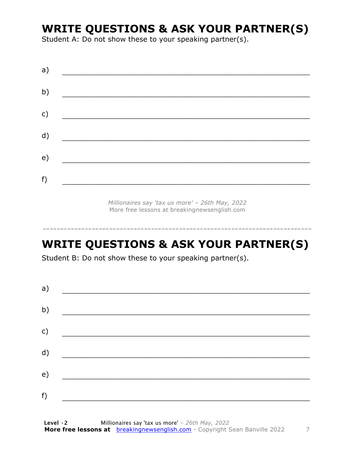#### **WRITE QUESTIONS & ASK YOUR PARTNER(S)**

Student A: Do not show these to your speaking partner(s).

| a)            |  |  |
|---------------|--|--|
| b)            |  |  |
| $\mathsf{c})$ |  |  |
| d)            |  |  |
| e)            |  |  |
| f)            |  |  |
|               |  |  |

*Millionaires say 'tax us more' – 26th May, 2022* More free lessons at breakingnewsenglish.com

-----------------------------------------------------------------------------

### **WRITE QUESTIONS & ASK YOUR PARTNER(S)**

Student B: Do not show these to your speaking partner(s).

| a) |  |  |
|----|--|--|
| b) |  |  |
| c) |  |  |
| d) |  |  |
| e) |  |  |
| f) |  |  |
|    |  |  |